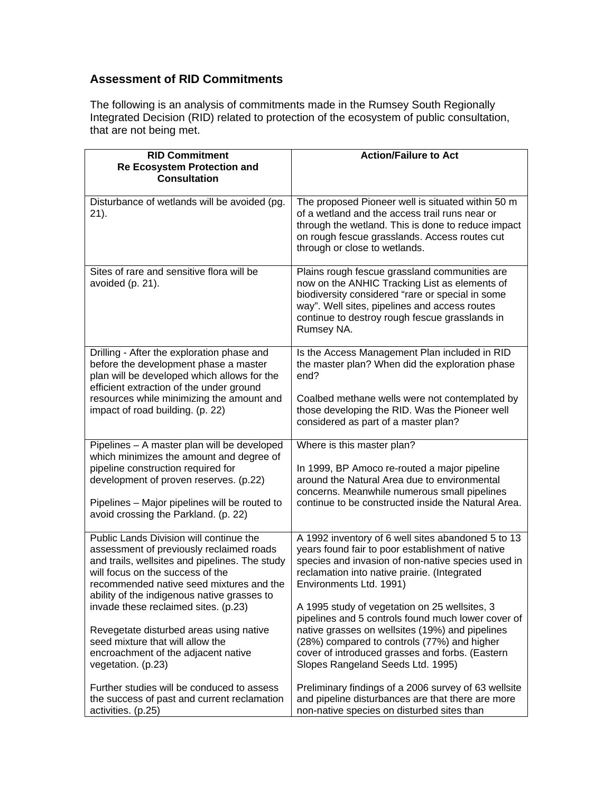## **Assessment of RID Commitments**

The following is an analysis of commitments made in the Rumsey South Regionally Integrated Decision (RID) related to protection of the ecosystem of public consultation, that are not being met.

| <b>RID Commitment</b><br><b>Re Ecosystem Protection and</b><br><b>Consultation</b>                                                                                                                                                                                   | <b>Action/Failure to Act</b>                                                                                                                                                                                                                                        |
|----------------------------------------------------------------------------------------------------------------------------------------------------------------------------------------------------------------------------------------------------------------------|---------------------------------------------------------------------------------------------------------------------------------------------------------------------------------------------------------------------------------------------------------------------|
| Disturbance of wetlands will be avoided (pg.<br>21).                                                                                                                                                                                                                 | The proposed Pioneer well is situated within 50 m<br>of a wetland and the access trail runs near or<br>through the wetland. This is done to reduce impact<br>on rough fescue grasslands. Access routes cut<br>through or close to wetlands.                         |
| Sites of rare and sensitive flora will be<br>avoided (p. 21).                                                                                                                                                                                                        | Plains rough fescue grassland communities are<br>now on the ANHIC Tracking List as elements of<br>biodiversity considered "rare or special in some<br>way". Well sites, pipelines and access routes<br>continue to destroy rough fescue grasslands in<br>Rumsey NA. |
| Drilling - After the exploration phase and<br>before the development phase a master<br>plan will be developed which allows for the<br>efficient extraction of the under ground                                                                                       | Is the Access Management Plan included in RID<br>the master plan? When did the exploration phase<br>end?                                                                                                                                                            |
| resources while minimizing the amount and<br>impact of road building. (p. 22)                                                                                                                                                                                        | Coalbed methane wells were not contemplated by<br>those developing the RID. Was the Pioneer well<br>considered as part of a master plan?                                                                                                                            |
| Pipelines - A master plan will be developed                                                                                                                                                                                                                          | Where is this master plan?                                                                                                                                                                                                                                          |
| which minimizes the amount and degree of<br>pipeline construction required for<br>development of proven reserves. (p.22)                                                                                                                                             | In 1999, BP Amoco re-routed a major pipeline<br>around the Natural Area due to environmental<br>concerns. Meanwhile numerous small pipelines                                                                                                                        |
| Pipelines - Major pipelines will be routed to<br>avoid crossing the Parkland. (p. 22)                                                                                                                                                                                | continue to be constructed inside the Natural Area.                                                                                                                                                                                                                 |
| Public Lands Division will continue the<br>assessment of previously reclaimed roads<br>and trails, wellsites and pipelines. The study<br>will focus on the success of the<br>recommended native seed mixtures and the<br>ability of the indigenous native grasses to | A 1992 inventory of 6 well sites abandoned 5 to 13<br>years found fair to poor establishment of native<br>species and invasion of non-native species used in<br>reclamation into native prairie. (Integrated<br>Environments Ltd. 1991)                             |
| invade these reclaimed sites. (p.23)                                                                                                                                                                                                                                 | A 1995 study of vegetation on 25 wellsites, 3<br>pipelines and 5 controls found much lower cover of                                                                                                                                                                 |
| Revegetate disturbed areas using native                                                                                                                                                                                                                              | native grasses on wellsites (19%) and pipelines                                                                                                                                                                                                                     |
| seed mixture that will allow the<br>encroachment of the adjacent native<br>vegetation. (p.23)                                                                                                                                                                        | (28%) compared to controls (77%) and higher<br>cover of introduced grasses and forbs. (Eastern<br>Slopes Rangeland Seeds Ltd. 1995)                                                                                                                                 |
| Further studies will be conduced to assess<br>the success of past and current reclamation<br>activities. (p.25)                                                                                                                                                      | Preliminary findings of a 2006 survey of 63 wellsite<br>and pipeline disturbances are that there are more<br>non-native species on disturbed sites than                                                                                                             |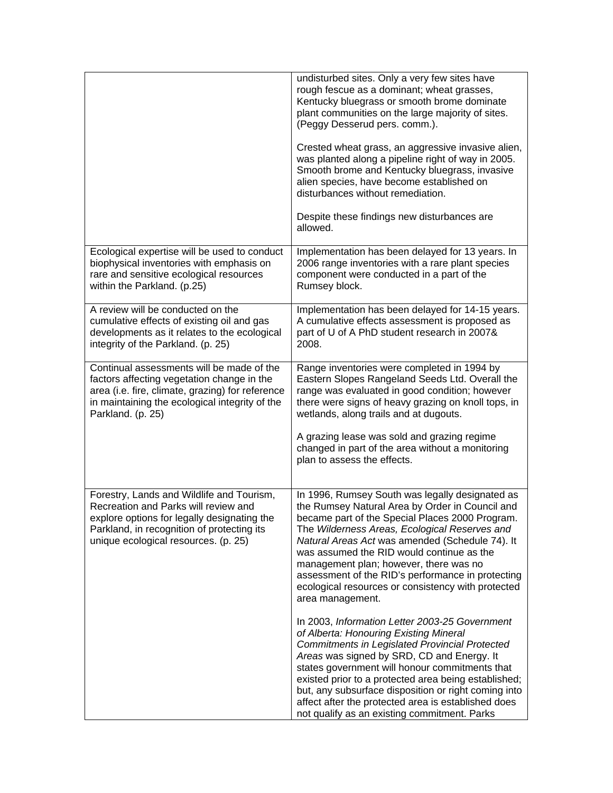|                                                                                                                                                                                                                        | undisturbed sites. Only a very few sites have<br>rough fescue as a dominant; wheat grasses,<br>Kentucky bluegrass or smooth brome dominate<br>plant communities on the large majority of sites.<br>(Peggy Desserud pers. comm.).<br>Crested wheat grass, an aggressive invasive alien,<br>was planted along a pipeline right of way in 2005.<br>Smooth brome and Kentucky bluegrass, invasive<br>alien species, have become established on<br>disturbances without remediation.<br>Despite these findings new disturbances are<br>allowed. |
|------------------------------------------------------------------------------------------------------------------------------------------------------------------------------------------------------------------------|--------------------------------------------------------------------------------------------------------------------------------------------------------------------------------------------------------------------------------------------------------------------------------------------------------------------------------------------------------------------------------------------------------------------------------------------------------------------------------------------------------------------------------------------|
| Ecological expertise will be used to conduct<br>biophysical inventories with emphasis on<br>rare and sensitive ecological resources<br>within the Parkland. (p.25)                                                     | Implementation has been delayed for 13 years. In<br>2006 range inventories with a rare plant species<br>component were conducted in a part of the<br>Rumsey block.                                                                                                                                                                                                                                                                                                                                                                         |
| A review will be conducted on the<br>cumulative effects of existing oil and gas<br>developments as it relates to the ecological<br>integrity of the Parkland. (p. 25)                                                  | Implementation has been delayed for 14-15 years.<br>A cumulative effects assessment is proposed as<br>part of U of A PhD student research in 2007&<br>2008.                                                                                                                                                                                                                                                                                                                                                                                |
| Continual assessments will be made of the<br>factors affecting vegetation change in the<br>area (i.e. fire, climate, grazing) for reference<br>in maintaining the ecological integrity of the<br>Parkland. (p. 25)     | Range inventories were completed in 1994 by<br>Eastern Slopes Rangeland Seeds Ltd. Overall the<br>range was evaluated in good condition; however<br>there were signs of heavy grazing on knoll tops, in<br>wetlands, along trails and at dugouts.<br>A grazing lease was sold and grazing regime<br>changed in part of the area without a monitoring<br>plan to assess the effects.                                                                                                                                                        |
| Forestry, Lands and Wildlife and Tourism,<br>Recreation and Parks will review and<br>explore options for legally designating the<br>Parkland, in recognition of protecting its<br>unique ecological resources. (p. 25) | In 1996, Rumsey South was legally designated as<br>the Rumsey Natural Area by Order in Council and<br>became part of the Special Places 2000 Program.<br>The Wilderness Areas, Ecological Reserves and<br>Natural Areas Act was amended (Schedule 74). It<br>was assumed the RID would continue as the<br>management plan; however, there was no<br>assessment of the RID's performance in protecting<br>ecological resources or consistency with protected<br>area management.                                                            |
|                                                                                                                                                                                                                        | In 2003, Information Letter 2003-25 Government<br>of Alberta: Honouring Existing Mineral<br><b>Commitments in Legislated Provincial Protected</b><br>Areas was signed by SRD, CD and Energy. It<br>states government will honour commitments that<br>existed prior to a protected area being established;<br>but, any subsurface disposition or right coming into<br>affect after the protected area is established does<br>not qualify as an existing commitment. Parks                                                                   |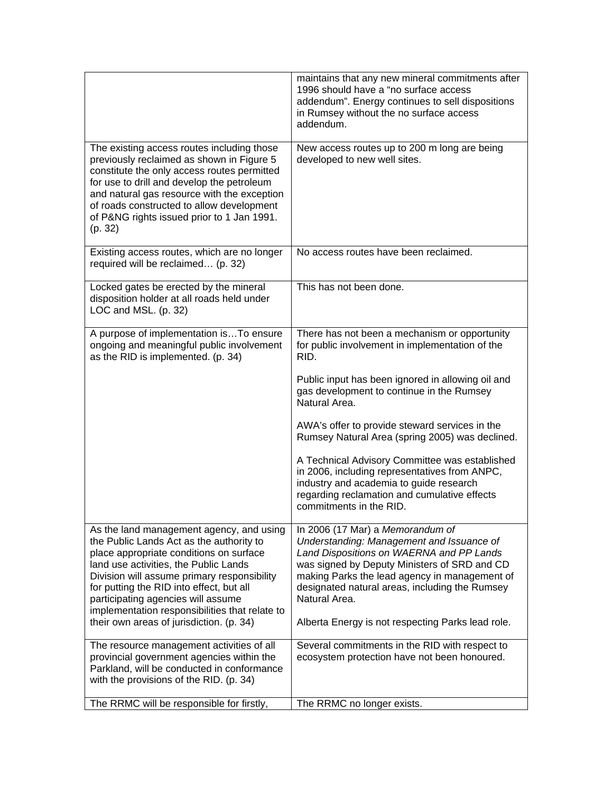|                                                                                                                                                                                                                                                                                                                                                                                                         | maintains that any new mineral commitments after<br>1996 should have a "no surface access<br>addendum". Energy continues to sell dispositions<br>in Rumsey without the no surface access<br>addendum.                                                                                                                                              |
|---------------------------------------------------------------------------------------------------------------------------------------------------------------------------------------------------------------------------------------------------------------------------------------------------------------------------------------------------------------------------------------------------------|----------------------------------------------------------------------------------------------------------------------------------------------------------------------------------------------------------------------------------------------------------------------------------------------------------------------------------------------------|
| The existing access routes including those<br>previously reclaimed as shown in Figure 5<br>constitute the only access routes permitted<br>for use to drill and develop the petroleum<br>and natural gas resource with the exception<br>of roads constructed to allow development<br>of P&NG rights issued prior to 1 Jan 1991.<br>(p. 32)                                                               | New access routes up to 200 m long are being<br>developed to new well sites.                                                                                                                                                                                                                                                                       |
| Existing access routes, which are no longer<br>required will be reclaimed (p. 32)                                                                                                                                                                                                                                                                                                                       | No access routes have been reclaimed.                                                                                                                                                                                                                                                                                                              |
| Locked gates be erected by the mineral<br>disposition holder at all roads held under<br>LOC and MSL. (p. 32)                                                                                                                                                                                                                                                                                            | This has not been done.                                                                                                                                                                                                                                                                                                                            |
| A purpose of implementation isTo ensure<br>ongoing and meaningful public involvement<br>as the RID is implemented. (p. 34)                                                                                                                                                                                                                                                                              | There has not been a mechanism or opportunity<br>for public involvement in implementation of the<br>RID.                                                                                                                                                                                                                                           |
|                                                                                                                                                                                                                                                                                                                                                                                                         | Public input has been ignored in allowing oil and<br>gas development to continue in the Rumsey<br>Natural Area.                                                                                                                                                                                                                                    |
|                                                                                                                                                                                                                                                                                                                                                                                                         | AWA's offer to provide steward services in the<br>Rumsey Natural Area (spring 2005) was declined.                                                                                                                                                                                                                                                  |
|                                                                                                                                                                                                                                                                                                                                                                                                         | A Technical Advisory Committee was established<br>in 2006, including representatives from ANPC,<br>industry and academia to guide research<br>regarding reclamation and cumulative effects<br>commitments in the RID.                                                                                                                              |
| As the land management agency, and using<br>the Public Lands Act as the authority to<br>place appropriate conditions on surface<br>land use activities, the Public Lands<br>Division will assume primary responsibility<br>for putting the RID into effect, but all<br>participating agencies will assume<br>implementation responsibilities that relate to<br>their own areas of jurisdiction. (p. 34) | In 2006 (17 Mar) a Memorandum of<br>Understanding: Management and Issuance of<br>Land Dispositions on WAERNA and PP Lands<br>was signed by Deputy Ministers of SRD and CD<br>making Parks the lead agency in management of<br>designated natural areas, including the Rumsey<br>Natural Area.<br>Alberta Energy is not respecting Parks lead role. |
| The resource management activities of all<br>provincial government agencies within the<br>Parkland, will be conducted in conformance<br>with the provisions of the RID. (p. 34)                                                                                                                                                                                                                         | Several commitments in the RID with respect to<br>ecosystem protection have not been honoured.                                                                                                                                                                                                                                                     |
| The RRMC will be responsible for firstly,                                                                                                                                                                                                                                                                                                                                                               | The RRMC no longer exists.                                                                                                                                                                                                                                                                                                                         |